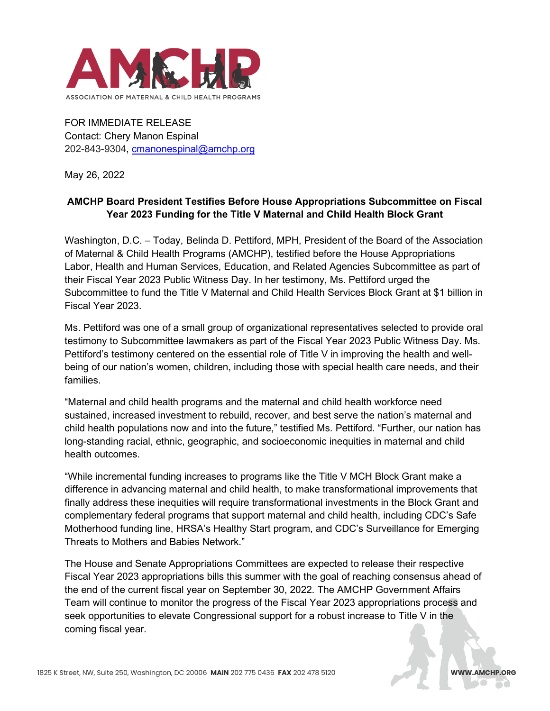

FOR IMMEDIATE RELEASE Contact: Chery Manon Espinal 202-843-9304, [cmanonespinal@amchp.org](mailto:cmanonespinal@amchp.org)

May 26, 2022

## **AMCHP Board President Testifies Before House Appropriations Subcommittee on Fiscal Year 2023 Funding for the Title V Maternal and Child Health Block Grant**

Washington, D.C. – Today, Belinda D. Pettiford, MPH, President of the Board of the Association of Maternal & Child Health Programs (AMCHP), testified before the House Appropriations Labor, Health and Human Services, Education, and Related Agencies Subcommittee as part of their Fiscal Year 2023 Public Witness Day. In her testimony, Ms. Pettiford urged the Subcommittee to fund the Title V Maternal and Child Health Services Block Grant at \$1 billion in Fiscal Year 2023.

Ms. Pettiford was one of a small group of organizational representatives selected to provide oral testimony to Subcommittee lawmakers as part of the Fiscal Year 2023 Public Witness Day. Ms. Pettiford's testimony centered on the essential role of Title V in improving the health and wellbeing of our nation's women, children, including those with special health care needs, and their families.

"Maternal and child health programs and the maternal and child health workforce need sustained, increased investment to rebuild, recover, and best serve the nation's maternal and child health populations now and into the future," testified Ms. Pettiford. "Further, our nation has long-standing racial, ethnic, geographic, and socioeconomic inequities in maternal and child health outcomes.

"While incremental funding increases to programs like the Title V MCH Block Grant make a difference in advancing maternal and child health, to make transformational improvements that finally address these inequities will require transformational investments in the Block Grant and complementary federal programs that support maternal and child health, including CDC's Safe Motherhood funding line, HRSA's Healthy Start program, and CDC's Surveillance for Emerging Threats to Mothers and Babies Network."

The House and Senate Appropriations Committees are expected to release their respective Fiscal Year 2023 appropriations bills this summer with the goal of reaching consensus ahead of the end of the current fiscal year on September 30, 2022. The AMCHP Government Affairs Team will continue to monitor the progress of the Fiscal Year 2023 appropriations process and seek opportunities to elevate Congressional support for a robust increase to Title V in the coming fiscal year.